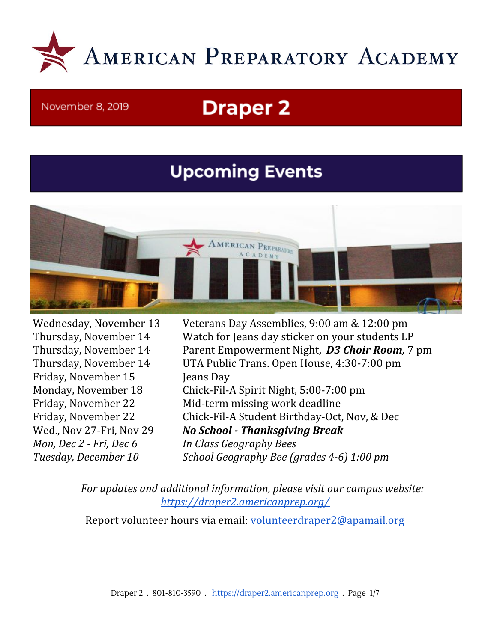

#### November 8, 2019

# **Draper 2**

## **Upcoming Events**



Friday, November 15 Jeans Day *Mon, Dec 2 - Fri, Dec 6 In Class Geography Bees*

Wednesday, November 13 Veterans Day Assemblies, 9:00 am & 12:00 pm Thursday, November 14 Watch for Jeans day sticker on your students LP Thursday, November 14 Parent Empowerment Night, *D3 Choir Room,* 7 pm Thursday, November 14 UTA Public Trans. Open House, 4:30-7:00 pm Monday, November 18 Chick-Fil-A Spirit Night, 5:00-7:00 pm Friday, November 22 Mid-term missing work deadline Friday, November 22 Chick-Fil-A Student Birthday-Oct, Nov, & Dec Wed., Nov 27-Fri, Nov 29 *No School - Thanksgiving Break Tuesday, December 10 School Geography Bee (grades 4-6) 1:00 pm*

> *For updates and additional information, please visit our campus website: <https://draper2.americanprep.org/>*

Report volunteer hours via email: [volunteerdraper2@apamail.org](mailto:volunteerdraper2@apamail.org)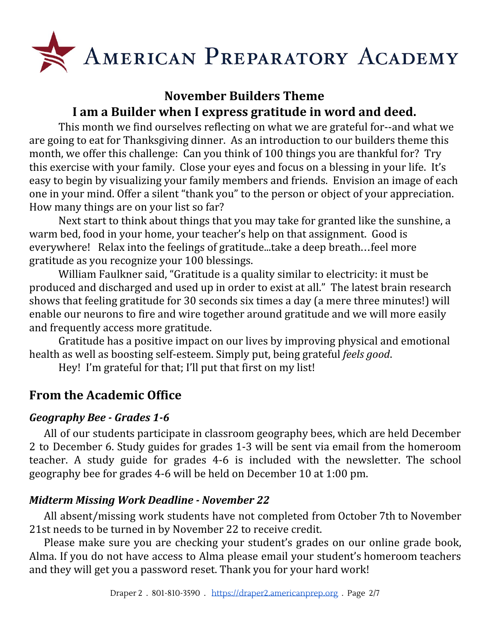

## **November Builders Theme I am a Builder when I express gratitude in word and deed.**

This month we find ourselves reflecting on what we are grateful for--and what we are going to eat for Thanksgiving dinner. As an introduction to our builders theme this month, we offer this challenge: Can you think of 100 things you are thankful for? Try this exercise with your family. Close your eyes and focus on a blessing in your life. It's easy to begin by visualizing your family members and friends. Envision an image of each one in your mind. Offer a silent "thank you" to the person or object of your appreciation. How many things are on your list so far?

Next start to think about things that you may take for granted like the sunshine, a warm bed, food in your home, your teacher's help on that assignment. Good is everywhere! Relax into the feelings of gratitude...take a deep breath…feel more gratitude as you recognize your 100 blessings.

William Faulkner said, "Gratitude is a quality similar to electricity: it must be produced and discharged and used up in order to exist at all." The latest brain research shows that feeling gratitude for 30 seconds six times a day (a mere three minutes!) will enable our neurons to fire and wire together around gratitude and we will more easily and frequently access more gratitude.

Gratitude has a positive impact on our lives by improving physical and emotional health as well as boosting self-esteem. Simply put, being grateful *feels good*.

Hey! I'm grateful for that; I'll put that first on my list!

## **From the Academic Office**

## *Geography Bee - Grades 1-6*

All of our students participate in classroom geography bees, which are held December 2 to December 6. Study guides for grades 1-3 will be sent via email from the homeroom teacher. A study guide for grades 4-6 is included with the newsletter. The school geography bee for grades 4-6 will be held on December 10 at 1:00 pm.

## *Midterm Missing Work Deadline - November 22*

All absent/missing work students have not completed from October 7th to November 21st needs to be turned in by November 22 to receive credit.

Please make sure you are checking your student's grades on our online grade book, Alma. If you do not have access to Alma please email your student's homeroom teachers and they will get you a password reset. Thank you for your hard work!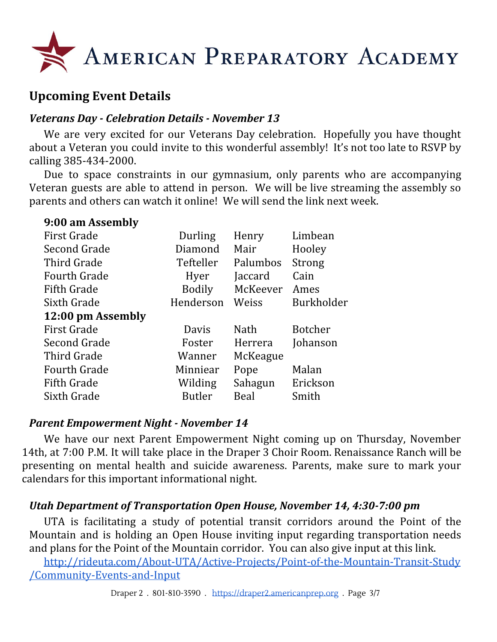

## **Upcoming Event Details**

#### *Veterans Day - Celebration Details - November 13*

We are very excited for our Veterans Day celebration. Hopefully you have thought about a Veteran you could invite to this wonderful assembly! It's not too late to RSVP by calling 385-434-2000.

Due to space constraints in our gymnasium, only parents who are accompanying Veteran guests are able to attend in person. We will be live streaming the assembly so parents and others can watch it online! We will send the link next week.

| 9:00 am Assembly    |               |             |            |
|---------------------|---------------|-------------|------------|
| <b>First Grade</b>  | Durling       | Henry       | Limbean    |
| Second Grade        | Diamond       | Mair        | Hooley     |
| Third Grade         | Tefteller     | Palumbos    | Strong     |
| <b>Fourth Grade</b> | Hyer          | Jaccard     | Cain       |
| <b>Fifth Grade</b>  | Bodily        | McKeever    | Ames       |
| Sixth Grade         | Henderson     | Weiss       | Burkholder |
| 12:00 pm Assembly   |               |             |            |
| <b>First Grade</b>  | Davis         | <b>Nath</b> | Botcher    |
| Second Grade        | Foster        | Herrera     | Johanson   |
| Third Grade         | Wanner        | McKeague    |            |
| <b>Fourth Grade</b> | Minniear      | Pope        | Malan      |
| <b>Fifth Grade</b>  | Wilding       | Sahagun     | Erickson   |
| Sixth Grade         | <b>Butler</b> | Beal        | Smith      |
|                     |               |             |            |

#### *Parent Empowerment Night - November 14*

We have our next Parent Empowerment Night coming up on Thursday, November 14th, at 7:00 P.M. It will take place in the Draper 3 Choir Room. Renaissance Ranch will be presenting on mental health and suicide awareness. Parents, make sure to mark your calendars for this important informational night.

#### *Utah Department of Transportation Open House, November 14, 4:30-7:00 pm*

UTA is facilitating a study of potential transit corridors around the Point of the Mountain and is holding an Open House inviting input regarding transportation needs and plans for the Point of the Mountain corridor. You can also give input at this link.

[http://rideuta.com/About-UTA/Active-Projects/Point-of-the-Mountain-Transit-Study](http://rideuta.com/About-UTA/Active-Projects/Point-of-the-Mountain-Transit-Study/Community-Events-and-Input) [/Community-Events-and-Input](http://rideuta.com/About-UTA/Active-Projects/Point-of-the-Mountain-Transit-Study/Community-Events-and-Input)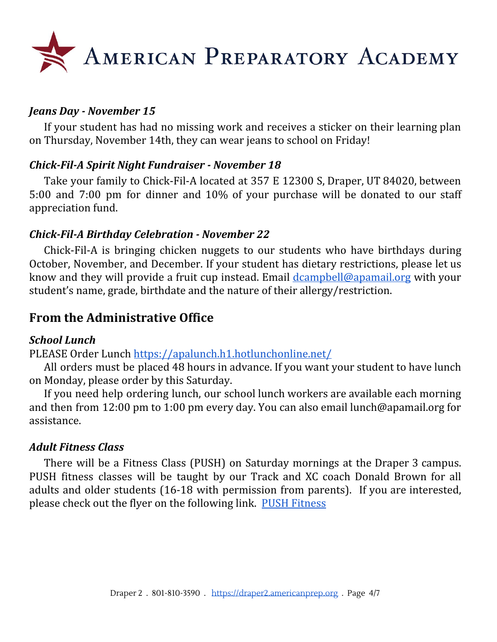

#### *Jeans Day - November 15*

If your student has had no missing work and receives a sticker on their learning plan on Thursday, November 14th, they can wear jeans to school on Friday!

#### *Chick-Fil-A Spirit Night Fundraiser - November 18*

Take your family to Chick-Fil-A located at 357 E 12300 S, Draper, UT 84020, between 5:00 and 7:00 pm for dinner and 10% of your purchase will be donated to our staff appreciation fund.

#### *Chick-Fil-A Birthday Celebration - November 22*

Chick-Fil-A is bringing chicken nuggets to our students who have birthdays during October, November, and December. If your student has dietary restrictions, please let us know and they will provide a fruit cup instead. Email [dcampbell@apamail.org](mailto:dcampbell@apamail.org) with your student's name, grade, birthdate and the nature of their allergy/restriction.

## **From the Administrative Office**

#### *School Lunch*

PLEASE Order Lunch <https://apalunch.h1.hotlunchonline.net/>

All orders must be placed 48 hours in advance. If you want your student to have lunch on Monday, please order by this Saturday.

If you need help ordering lunch, our school lunch workers are available each morning and then from 12:00 pm to 1:00 pm every day. You can also email lunch@apamail.org for assistance.

#### *Adult Fitness Class*

There will be a Fitness Class (PUSH) on Saturday mornings at the Draper 3 campus. PUSH fitness classes will be taught by our Track and XC coach Donald Brown for all adults and older students (16-18 with permission from parents). If you are interested, please check out the flyer on the following link. PUSH [Fitness](https://draper2.americanprep.org/wp-content/uploads/sites/3/2019/10/PUSH-PROGRAM.pdf)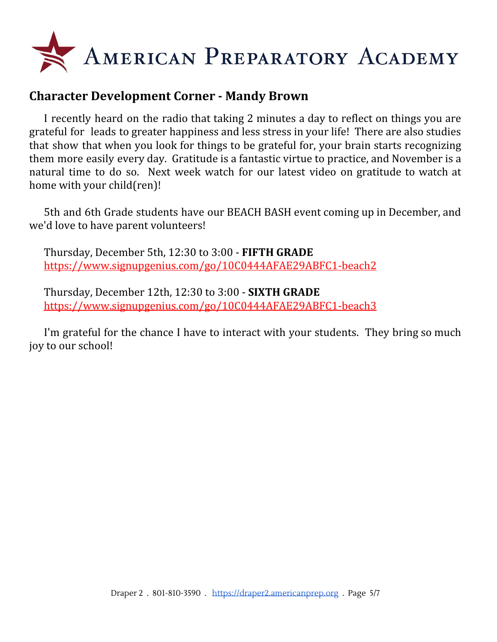

## **Character Development Corner - Mandy Brown**

I recently heard on the radio that taking 2 minutes a day to reflect on things you are grateful for leads to greater happiness and less stress in your life! There are also studies that show that when you look for things to be grateful for, your brain starts recognizing them more easily every day. Gratitude is a fantastic virtue to practice, and November is a natural time to do so. Next week watch for our latest video on gratitude to watch at home with your child(ren)!

5th and 6th Grade students have our BEACH BASH event coming up in December, and we'd love to have parent volunteers!

Thursday, December 5th, 12:30 to 3:00 - **FIFTH GRADE** <https://www.signupgenius.com/go/10C0444AFAE29ABFC1-beach2>

Thursday, December 12th, 12:30 to 3:00 - **SIXTH GRADE** <https://www.signupgenius.com/go/10C0444AFAE29ABFC1-beach3>

I'm grateful for the chance I have to interact with your students. They bring so much joy to our school!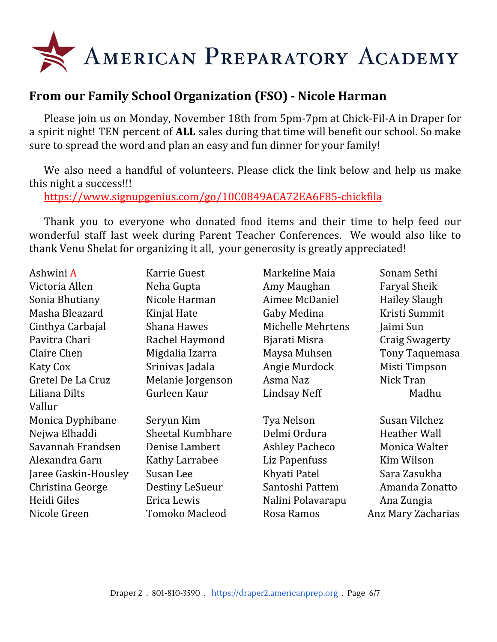

## **From our Family School Organization (FSO) - Nicole Harman**

Please join us on Monday, November 18th from 5pm-7pm at Chick-Fil-A in Draper for a spirit night! TEN percent of **ALL** sales during that time will benefit our school. So make sure to spread the word and plan an easy and fun dinner for your family!

We also need a handful of volunteers. Please click the link below and help us make this night a success!!!

<https://www.signupgenius.com/go/10C0849ACA72EA6F85-chickfila>

Thank you to everyone who donated food items and their time to help feed our wonderful staff last week during Parent Teacher Conferences. We would also like to thank Venu Shelat for organizing it all, your generosity is greatly appreciated!

| Ashwini A            | Karrie Guest            | Markeline Maia        | Sonam Sethi           |
|----------------------|-------------------------|-----------------------|-----------------------|
| Victoria Allen       | Neha Gupta              | Amy Maughan           | <b>Faryal Sheik</b>   |
| Sonia Bhutiany       | Nicole Harman           | Aimee McDaniel        | <b>Hailey Slaugh</b>  |
| Masha Bleazard       | Kinjal Hate             | Gaby Medina           | Kristi Summit         |
| Cinthya Carbajal     | <b>Shana Hawes</b>      | Michelle Mehrtens     | Jaimi Sun             |
| Pavitra Chari        | Rachel Haymond          | Bjarati Misra         | <b>Craig Swagerty</b> |
| Claire Chen          | Migdalia Izarra         | Maysa Muhsen          | Tony Taquemasa        |
| <b>Katy Cox</b>      | Srinivas Jadala         | Angie Murdock         | Misti Timpson         |
| Gretel De La Cruz    | Melanie Jorgenson       | Asma Naz              | Nick Tran             |
| Liliana Dilts        | Gurleen Kaur            | <b>Lindsay Neff</b>   | Madhu                 |
| Vallur               |                         |                       |                       |
| Monica Dyphibane     | Seryun Kim              | Tya Nelson            | Susan Vilchez         |
| Nejwa Elhaddi        | <b>Sheetal Kumbhare</b> | Delmi Ordura          | <b>Heather Wall</b>   |
| Savannah Frandsen    | Denise Lambert          | <b>Ashley Pacheco</b> | Monica Walter         |
| Alexandra Garn       | Kathy Larrabee          | Liz Papenfuss         | Kim Wilson            |
| Jaree Gaskin-Housley | Susan Lee               | Khyati Patel          | Sara Zasukha          |
| Christina George     | Destiny LeSueur         | Santoshi Pattem       | Amanda Zonatto        |
| Heidi Giles          | Erica Lewis             | Nalini Polavarapu     | Ana Zungia            |
| Nicole Green         | <b>Tomoko Macleod</b>   | Rosa Ramos            | Anz Mary Zacharias    |